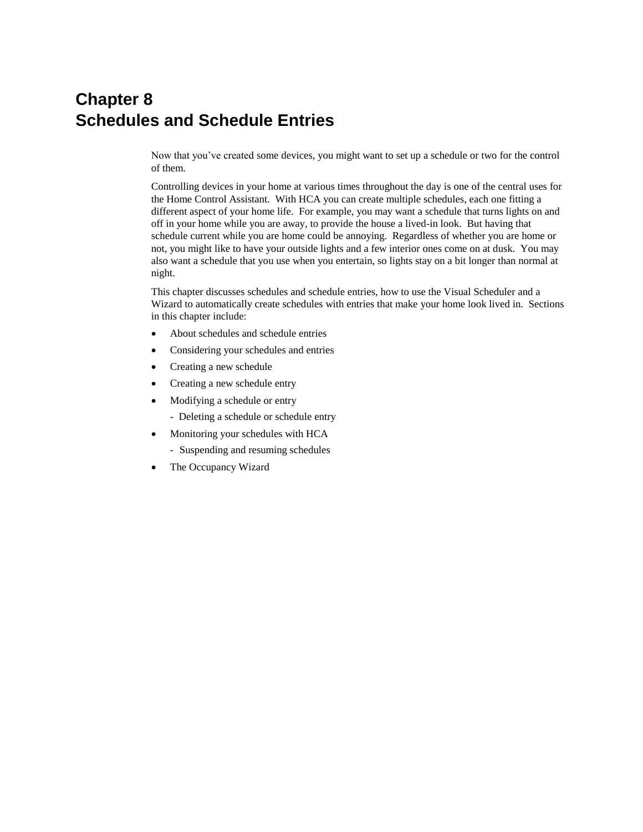# **Chapter 8 Schedules and Schedule Entries**

Now that you've created some devices, you might want to set up a schedule or two for the control of them.

Controlling devices in your home at various times throughout the day is one of the central uses for the Home Control Assistant. With HCA you can create multiple schedules, each one fitting a different aspect of your home life. For example, you may want a schedule that turns lights on and off in your home while you are away, to provide the house a lived-in look. But having that schedule current while you are home could be annoying. Regardless of whether you are home or not, you might like to have your outside lights and a few interior ones come on at dusk. You may also want a schedule that you use when you entertain, so lights stay on a bit longer than normal at night.

This chapter discusses schedules and schedule entries, how to use the Visual Scheduler and a Wizard to automatically create schedules with entries that make your home look lived in. Sections in this chapter include:

- About schedules and schedule entries
- Considering your schedules and entries
- Creating a new schedule
- Creating a new schedule entry
- Modifying a schedule or entry
	- Deleting a schedule or schedule entry
- Monitoring your schedules with HCA - Suspending and resuming schedules
- The Occupancy Wizard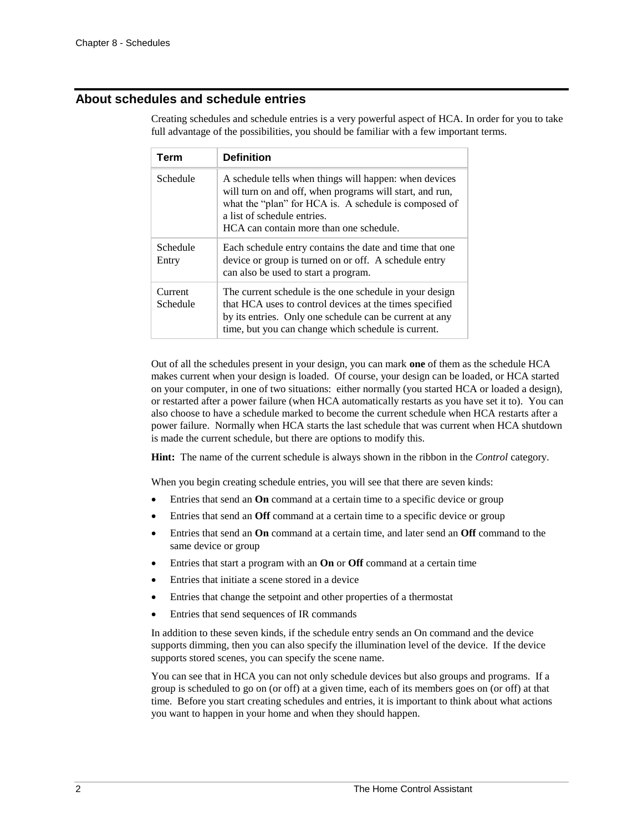# **About schedules and schedule entries**

Creating schedules and schedule entries is a very powerful aspect of HCA. In order for you to take full advantage of the possibilities, you should be familiar with a few important terms.

| Term                | <b>Definition</b>                                                                                                                                                                                                                                     |
|---------------------|-------------------------------------------------------------------------------------------------------------------------------------------------------------------------------------------------------------------------------------------------------|
| Schedule            | A schedule tells when things will happen: when devices<br>will turn on and off, when programs will start, and run,<br>what the "plan" for HCA is. A schedule is composed of<br>a list of schedule entries.<br>HCA can contain more than one schedule. |
| Schedule<br>Entry   | Each schedule entry contains the date and time that one<br>device or group is turned on or off. A schedule entry<br>can also be used to start a program.                                                                                              |
| Current<br>Schedule | The current schedule is the one schedule in your design<br>that HCA uses to control devices at the times specified<br>by its entries. Only one schedule can be current at any<br>time, but you can change which schedule is current.                  |

Out of all the schedules present in your design, you can mark **one** of them as the schedule HCA makes current when your design is loaded. Of course, your design can be loaded, or HCA started on your computer, in one of two situations: either normally (you started HCA or loaded a design), or restarted after a power failure (when HCA automatically restarts as you have set it to). You can also choose to have a schedule marked to become the current schedule when HCA restarts after a power failure. Normally when HCA starts the last schedule that was current when HCA shutdown is made the current schedule, but there are options to modify this.

**Hint:** The name of the current schedule is always shown in the ribbon in the *Control* category.

When you begin creating schedule entries, you will see that there are seven kinds:

- Entries that send an **On** command at a certain time to a specific device or group
- Entries that send an **Off** command at a certain time to a specific device or group
- Entries that send an **On** command at a certain time, and later send an **Off** command to the same device or group
- Entries that start a program with an **On** or **Off** command at a certain time
- Entries that initiate a scene stored in a device
- Entries that change the setpoint and other properties of a thermostat
- Entries that send sequences of IR commands

In addition to these seven kinds, if the schedule entry sends an On command and the device supports dimming, then you can also specify the illumination level of the device. If the device supports stored scenes, you can specify the scene name.

You can see that in HCA you can not only schedule devices but also groups and programs. If a group is scheduled to go on (or off) at a given time, each of its members goes on (or off) at that time. Before you start creating schedules and entries, it is important to think about what actions you want to happen in your home and when they should happen.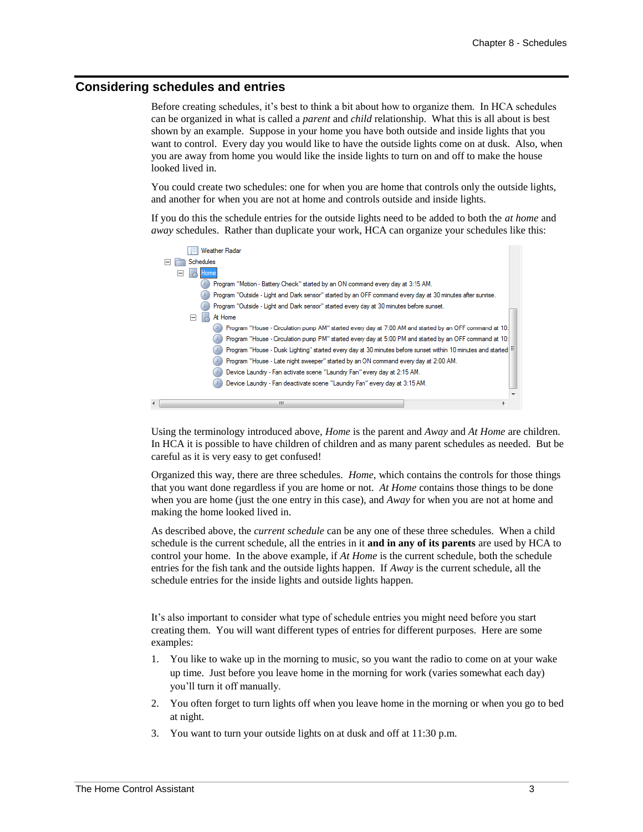## **Considering schedules and entries**

Before creating schedules, it's best to think a bit about how to organize them. In HCA schedules can be organized in what is called a *parent* and *child* relationship. What this is all about is best shown by an example. Suppose in your home you have both outside and inside lights that you want to control. Every day you would like to have the outside lights come on at dusk. Also, when you are away from home you would like the inside lights to turn on and off to make the house looked lived in.

You could create two schedules: one for when you are home that controls only the outside lights, and another for when you are not at home and controls outside and inside lights.

If you do this the schedule entries for the outside lights need to be added to both the *at home* and *away* schedules. Rather than duplicate your work, HCA can organize your schedules like this:

| <b>Weather Radar</b>                                                                                          |  |
|---------------------------------------------------------------------------------------------------------------|--|
| <b>Schedules</b>                                                                                              |  |
| $\Box$<br>$-1$                                                                                                |  |
| Program "Motion - Battery Check" started by an ON command every day at 3:15 AM.                               |  |
| Program "Outside - Light and Dark sensor" started by an OFF command every day at 30 minutes after sunrise.    |  |
| Program "Outside - Light and Dark sensor" started every day at 30 minutes before sunset.                      |  |
| At Home<br>E.                                                                                                 |  |
| Program "House - Circulation pump AM" started every day at 7:00 AM and started by an OFF command at 10:       |  |
| Program "House - Circulation pump PM" started every day at 5:00 PM and started by an OFF command at 10:       |  |
| Program "House - Dusk Lighting" started every day at 30 minutes before sunset within 10 minutes and started F |  |
| Program "House - Late night sweeper" started by an ON command every day at 2:00 AM.                           |  |
| Device Laundry - Fan activate scene "Laundry Fan" every day at 2:15 AM.                                       |  |
| Device Laundry - Fan deactivate scene "Laundry Fan" every day at 3:15 AM.                                     |  |
|                                                                                                               |  |
| m                                                                                                             |  |

Using the terminology introduced above, *Home* is the parent and *Away* and *At Home* are children. In HCA it is possible to have children of children and as many parent schedules as needed. But be careful as it is very easy to get confused!

Organized this way, there are three schedules. *Home,* which contains the controls for those things that you want done regardless if you are home or not. *At Home* contains those things to be done when you are home (just the one entry in this case), and *Away* for when you are not at home and making the home looked lived in.

As described above, the *current schedule* can be any one of these three schedules. When a child schedule is the current schedule, all the entries in it **and in any of its parents** are used by HCA to control your home. In the above example, if *At Home* is the current schedule, both the schedule entries for the fish tank and the outside lights happen. If *Away* is the current schedule, all the schedule entries for the inside lights and outside lights happen.

It's also important to consider what type of schedule entries you might need before you start creating them. You will want different types of entries for different purposes. Here are some examples:

- 1. You like to wake up in the morning to music, so you want the radio to come on at your wake up time. Just before you leave home in the morning for work (varies somewhat each day) you'll turn it off manually.
- 2. You often forget to turn lights off when you leave home in the morning or when you go to bed at night.
- 3. You want to turn your outside lights on at dusk and off at 11:30 p.m.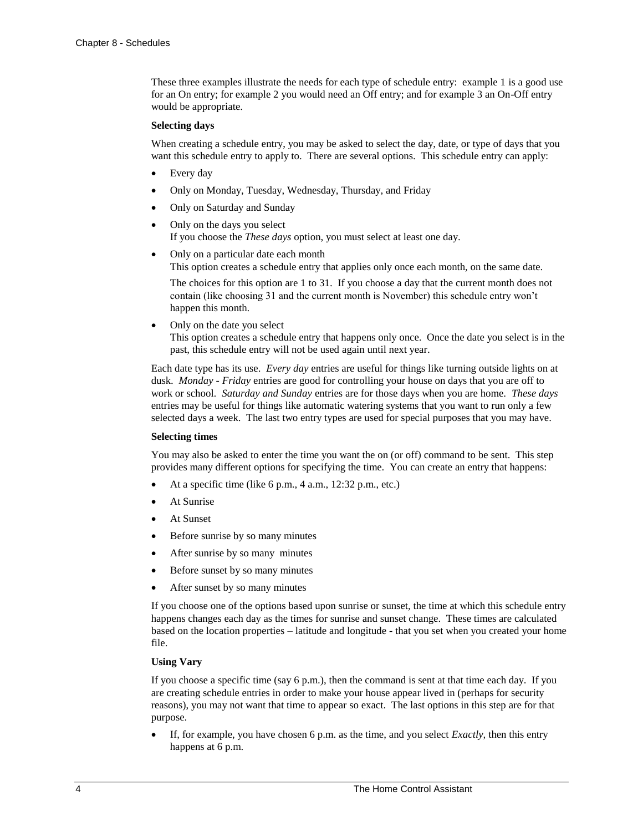These three examples illustrate the needs for each type of schedule entry: example 1 is a good use for an On entry; for example 2 you would need an Off entry; and for example 3 an On-Off entry would be appropriate.

### **Selecting days**

When creating a schedule entry, you may be asked to select the day, date, or type of days that you want this schedule entry to apply to. There are several options. This schedule entry can apply:

- Every day
- Only on Monday, Tuesday, Wednesday, Thursday, and Friday
- Only on Saturday and Sunday
- Only on the days you select If you choose the *These days* option, you must select at least one day.
- Only on a particular date each month This option creates a schedule entry that applies only once each month, on the same date.

The choices for this option are 1 to 31. If you choose a day that the current month does not contain (like choosing 31 and the current month is November) this schedule entry won't happen this month.

• Only on the date you select This option creates a schedule entry that happens only once. Once the date you select is in the past, this schedule entry will not be used again until next year.

Each date type has its use. *Every day* entries are useful for things like turning outside lights on at dusk. *Monday - Friday* entries are good for controlling your house on days that you are off to work or school*. Saturday and Sunday* entries are for those days when you are home. *These days* entries may be useful for things like automatic watering systems that you want to run only a few selected days a week. The last two entry types are used for special purposes that you may have.

#### **Selecting times**

You may also be asked to enter the time you want the on (or off) command to be sent. This step provides many different options for specifying the time. You can create an entry that happens:

- At a specific time (like 6 p.m., 4 a.m., 12:32 p.m., etc.)
- At Sunrise
- **At Sunset**
- Before sunrise by so many minutes
- After sunrise by so many minutes
- Before sunset by so many minutes
- After sunset by so many minutes

If you choose one of the options based upon sunrise or sunset, the time at which this schedule entry happens changes each day as the times for sunrise and sunset change. These times are calculated based on the location properties – latitude and longitude - that you set when you created your home file.

### **Using Vary**

If you choose a specific time (say 6 p.m.), then the command is sent at that time each day. If you are creating schedule entries in order to make your house appear lived in (perhaps for security reasons), you may not want that time to appear so exact. The last options in this step are for that purpose.

• If, for example, you have chosen 6 p.m. as the time, and you select *Exactly,* then this entry happens at 6 p.m.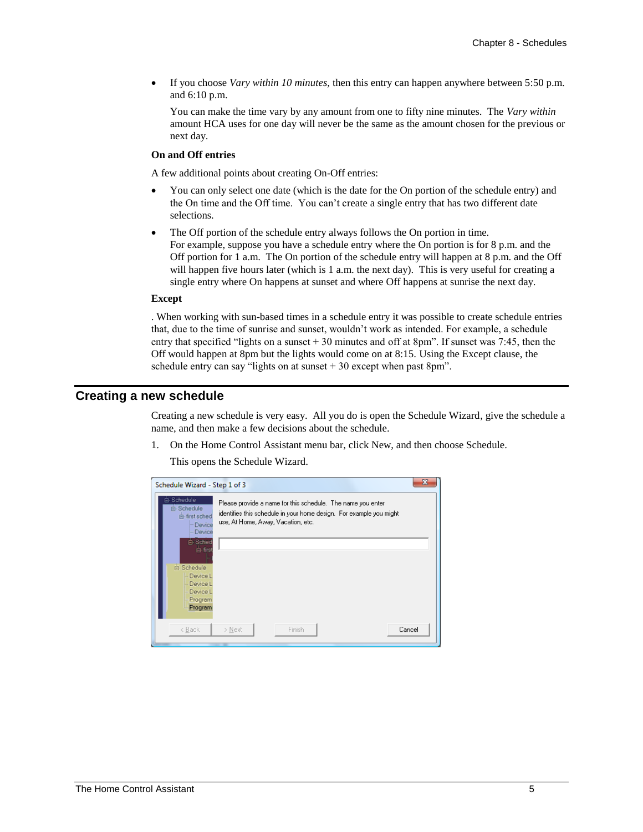• If you choose *Vary within 10 minutes,* then this entry can happen anywhere between 5:50 p.m. and 6:10 p.m.

You can make the time vary by any amount from one to fifty nine minutes. The *Vary within* amount HCA uses for one day will never be the same as the amount chosen for the previous or next day.

#### **On and Off entries**

A few additional points about creating On-Off entries:

- You can only select one date (which is the date for the On portion of the schedule entry) and the On time and the Off time. You can't create a single entry that has two different date selections.
- The Off portion of the schedule entry always follows the On portion in time. For example, suppose you have a schedule entry where the On portion is for 8 p.m. and the Off portion for 1 a.m. The On portion of the schedule entry will happen at 8 p.m. and the Off will happen five hours later (which is 1 a.m. the next day). This is very useful for creating a single entry where On happens at sunset and where Off happens at sunrise the next day.

#### **Except**

. When working with sun-based times in a schedule entry it was possible to create schedule entries that, due to the time of sunrise and sunset, wouldn't work as intended. For example, a schedule entry that specified "lights on a sunset + 30 minutes and off at 8pm". If sunset was 7:45, then the Off would happen at 8pm but the lights would come on at 8:15. Using the Except clause, the schedule entry can say "lights on at sunset  $+30$  except when past 8pm".

#### **Creating a new schedule**

Creating a new schedule is very easy. All you do is open the Schedule Wizard, give the schedule a name, and then make a few decisions about the schedule.

1. On the Home Control Assistant menu bar, click New, and then choose Schedule.

This opens the Schedule Wizard.

| Schedule Wizard - Step 1 of 3                                              |                                                                                                                                                                          | $\overline{\mathbf{x}}$ |
|----------------------------------------------------------------------------|--------------------------------------------------------------------------------------------------------------------------------------------------------------------------|-------------------------|
| Schedule<br>白 Schedule<br>白 first sched<br>- Device<br>- Device<br>白 Sched | Please provide a name for this schedule. The name you enter<br>identifies this schedule in your home design. For example you might<br>use, At Home, Away, Vacation, etc. |                         |
| 白·first<br>白 Schedule<br>Device L                                          |                                                                                                                                                                          |                         |
| Device L<br>Device L<br>Program<br>Program                                 |                                                                                                                                                                          |                         |
| < Back                                                                     | Finish<br>Cancel<br>> Next                                                                                                                                               |                         |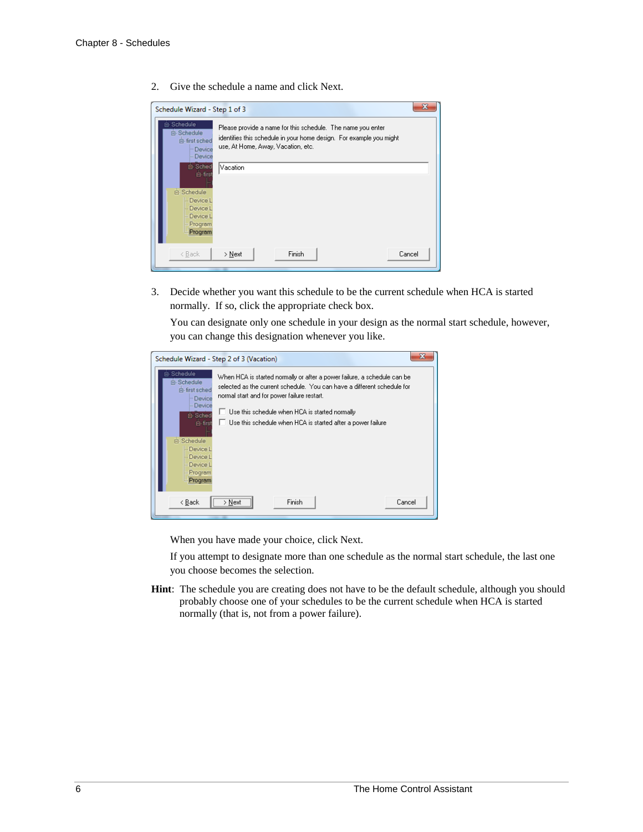2. Give the schedule a name and click Next.

| Schedule Wizard - Step 1 of 3                                                              |                                                                                                                                                                          |        |
|--------------------------------------------------------------------------------------------|--------------------------------------------------------------------------------------------------------------------------------------------------------------------------|--------|
| Schedule<br>Ė.<br>白 Schedule<br>白 first sched<br>- Device<br>- Device                      | Please provide a name for this schedule. The name you enter<br>identifies this schedule in your home design. For example you might<br>use, At Home, Away, Vacation, etc. |        |
| 白 Sched<br>白·first<br>白 Schedule<br>Device L<br>Device L<br>Device L<br>Program<br>Program | lVacation.                                                                                                                                                               |        |
| < Back                                                                                     | Finish<br>> Next                                                                                                                                                         | Cancel |

3. Decide whether you want this schedule to be the current schedule when HCA is started normally. If so, click the appropriate check box.

You can designate only one schedule in your design as the normal start schedule, however, you can change this designation whenever you like.

| x<br>Schedule Wizard - Step 2 of 3 (Vacation)                                                                                                                                                                                                                                                                                                                                                                                                                                      |
|------------------------------------------------------------------------------------------------------------------------------------------------------------------------------------------------------------------------------------------------------------------------------------------------------------------------------------------------------------------------------------------------------------------------------------------------------------------------------------|
| 白 Schedule<br>When HCA is started normally or after a power failure, a schedule can be<br>向-Schedule<br>selected as the current schedule. You can have a different schedule for<br>e-first sched<br>normal start and for power failure restart.<br>Device<br>Device<br>Use this schedule when HCA is started normally<br>白 Sched<br>Use this schedule when HCA is started after a power failure<br>白·first<br>白 Schedule<br>Device L<br>Device L<br>Device L<br>Program<br>Program |
| <br>Finish<br>< Back<br>Cancel<br>> Next                                                                                                                                                                                                                                                                                                                                                                                                                                           |

When you have made your choice, click Next.

If you attempt to designate more than one schedule as the normal start schedule, the last one you choose becomes the selection.

**Hint**: The schedule you are creating does not have to be the default schedule, although you should probably choose one of your schedules to be the current schedule when HCA is started normally (that is, not from a power failure).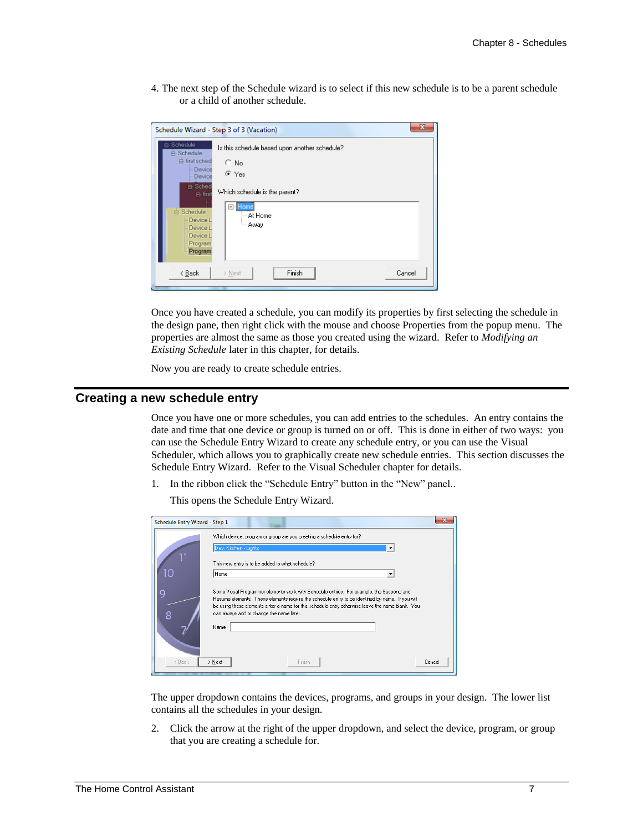4. The next step of the Schedule wizard is to select if this new schedule is to be a parent schedule or a child of another schedule.

| Schedule Wizard - Step 3 of 3 (Vacation)                                           |                                                                                                         |  |
|------------------------------------------------------------------------------------|---------------------------------------------------------------------------------------------------------|--|
| 白 Schedule<br>Schedule<br>白· first sched<br>Device<br>Device<br>白 Sched<br>白-first | Is this schedule based upon another schedule?<br>$\subset$ No<br>⊕ Yes<br>Which schedule is the parent? |  |
| 白 Schedule<br>Device L<br>Device L<br>Device L<br>Program<br>Program               | El-Home<br>— At Home<br>≒– Away                                                                         |  |
| $\leq$ Back                                                                        | Finish<br>Cancel<br>$>$ Next                                                                            |  |

Once you have created a schedule, you can modify its properties by first selecting the schedule in the design pane, then right click with the mouse and choose Properties from the popup menu. The properties are almost the same as those you created using the wizard. Refer to *Modifying an Existing Schedule* later in this chapter, for details.

Now you are ready to create schedule entries.

# **Creating a new schedule entry**

Once you have one or more schedules, you can add entries to the schedules. An entry contains the date and time that one device or group is turned on or off. This is done in either of two ways: you can use the Schedule Entry Wizard to create any schedule entry, or you can use the Visual Scheduler, which allows you to graphically create new schedule entries. This section discusses the Schedule Entry Wizard. Refer to the Visual Scheduler chapter for details.

1. In the ribbon click the "Schedule Entry" button in the "New" panel..

This opens the Schedule Entry Wizard.

| Schedule Entry Wizard - Step 1 |                                                                                                                                                                                                                                                                                                                                                       |  |
|--------------------------------|-------------------------------------------------------------------------------------------------------------------------------------------------------------------------------------------------------------------------------------------------------------------------------------------------------------------------------------------------------|--|
| 10                             | Which device, program or group are you creating a schedule entry for?<br>Dev: Kitchen - Lights<br>This new entry is to be added to what schedule?<br>Home<br>$\overline{\phantom{a}}$                                                                                                                                                                 |  |
| 9<br>8                         | Some Visual Programmer elements work with Schedule entries. For example, the Suspend and<br>Resume elements. These elements require the schedule entry to be identified by name. If you will<br>be using these elements enter a name for this schedule entry otherwise leave the name blank. You<br>can always add or change the name later.<br>Name: |  |
| < Back                         | > Next<br>Finish<br>Cancel                                                                                                                                                                                                                                                                                                                            |  |

The upper dropdown contains the devices, programs, and groups in your design. The lower list contains all the schedules in your design.

2. Click the arrow at the right of the upper dropdown, and select the device, program, or group that you are creating a schedule for.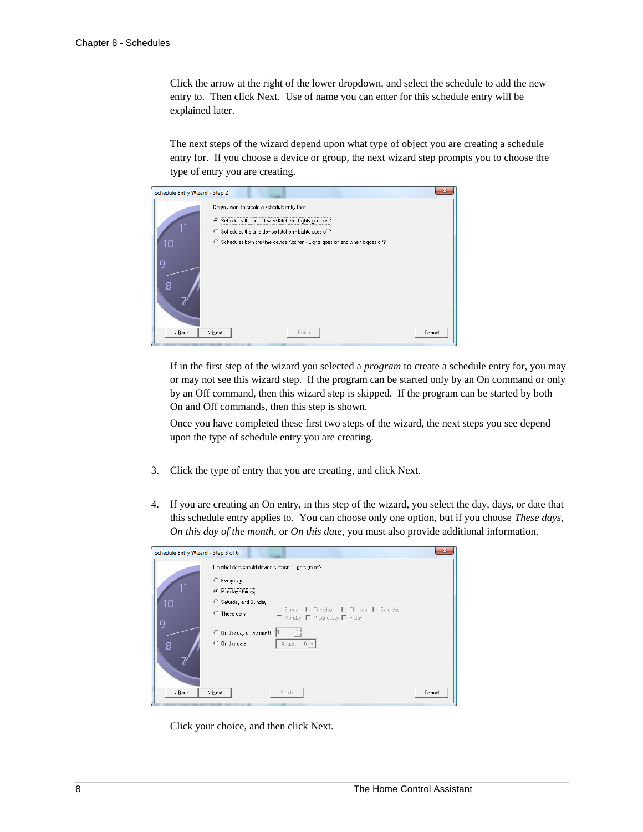Click the arrow at the right of the lower dropdown, and select the schedule to add the new entry to. Then click Next. Use of name you can enter for this schedule entry will be explained later.

The next steps of the wizard depend upon what type of object you are creating a schedule entry for. If you choose a device or group, the next wizard step prompts you to choose the type of entry you are creating.



If in the first step of the wizard you selected a *program* to create a schedule entry for, you may or may not see this wizard step. If the program can be started only by an On command or only by an Off command, then this wizard step is skipped. If the program can be started by both On and Off commands, then this step is shown.

Once you have completed these first two steps of the wizard, the next steps you see depend upon the type of schedule entry you are creating.

- 3. Click the type of entry that you are creating, and click Next.
- 4. If you are creating an On entry, in this step of the wizard, you select the day, days, or date that this schedule entry applies to. You can choose only one option, but if you choose *These days*, *On this day of the month*, or *On this date*, you must also provide additional information.

| Schedule Entry Wizard - Step 3 of 6 |                                                                                           | $\mathbf{x}$ |
|-------------------------------------|-------------------------------------------------------------------------------------------|--------------|
|                                     | On what date should device Kitchen - Lights go on?                                        |              |
|                                     | C Every day                                                                               |              |
| 11                                  | Monday - Friday                                                                           |              |
| 10                                  | G Saturday and Sunday                                                                     |              |
|                                     | □ Sunday □ Tuesday □ Thursday □ Saturday<br>C These days<br>□ Monday □ Wednesday □ Friday |              |
| 9                                   | C On this day of the month                                                                |              |
| 8                                   | C On this date<br>August 16 -                                                             |              |
|                                     |                                                                                           |              |
| $\leq$ Back                         | Finish<br>$>$ Next                                                                        | Cancel       |

Click your choice, and then click Next.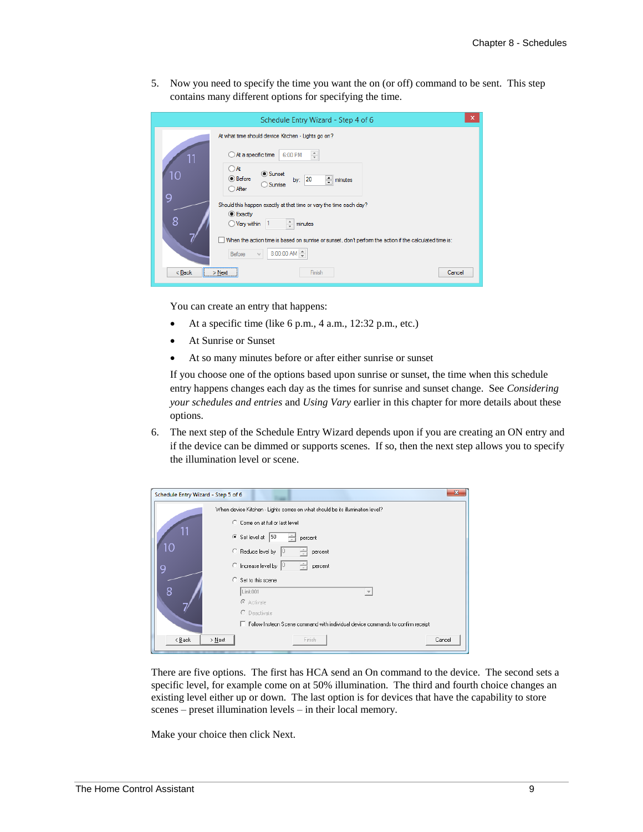5. Now you need to specify the time you want the on (or off) command to be sent. This step contains many different options for specifying the time.

| $\mathsf{x}$<br>Schedule Entry Wizard - Step 4 of 6                                                                                                                                                                                                                                                       |
|-----------------------------------------------------------------------------------------------------------------------------------------------------------------------------------------------------------------------------------------------------------------------------------------------------------|
| At what time should device Kitchen - Lights go on?<br>$\bigcirc$ At a specific time<br>$\frac{1}{\pi}$<br>6:00 PM<br>$\Box$ At<br>Sunset<br>10<br>$\Rightarrow$ minutes<br>● Before<br>by: 20<br>◯ Sunrise<br>$\bigcirc$ After<br>9<br>Should this happen exactly at that time or vary the time each day? |
| <b>Exactly</b><br>8<br>÷<br>$\vert$ 1<br>◯ Vary within<br>minutes<br>When the action time is based on sunrise or sunset, don't perform the action if the calculated time is:<br>$8:00:00$ AM $\div$<br>Before<br>$\sim$<br><br>$<$ Back<br>Finish<br>Cancel<br>> Next                                     |

You can create an entry that happens:

- At a specific time (like 6 p.m., 4 a.m., 12:32 p.m., etc.)
- At Sunrise or Sunset
- At so many minutes before or after either sunrise or sunset

If you choose one of the options based upon sunrise or sunset, the time when this schedule entry happens changes each day as the times for sunrise and sunset change. See *Considering your schedules and entries* and *Using Vary* earlier in this chapter for more details about these options.

6. The next step of the Schedule Entry Wizard depends upon if you are creating an ON entry and if the device can be dimmed or supports scenes. If so, then the next step allows you to specify the illumination level or scene.

| Schedule Entry Wizard - Step 5 of 6 | $\mathbf{x}$                                                                      |
|-------------------------------------|-----------------------------------------------------------------------------------|
|                                     | When device Kitchen - Lights comes on what should be its illumination level?      |
|                                     | C Come on at full or last level                                                   |
| 11                                  | 50<br>G Set level at<br>percent                                                   |
| 10                                  | C Reduce level by<br>percent                                                      |
| 9                                   | $\degree$ Increase level by $\degree$<br>percent                                  |
|                                     | C Set to this scene                                                               |
| 8                                   | Link001                                                                           |
|                                     | C Activate                                                                        |
|                                     | C Deactivate                                                                      |
|                                     | F Follow Insteon Scene command with individual device commands to confirm receipt |
| < <u>B</u> ack                      | Cancel<br>$>$ Next<br>Finish                                                      |

There are five options. The first has HCA send an On command to the device. The second sets a specific level, for example come on at 50% illumination. The third and fourth choice changes an existing level either up or down. The last option is for devices that have the capability to store scenes – preset illumination levels – in their local memory.

Make your choice then click Next.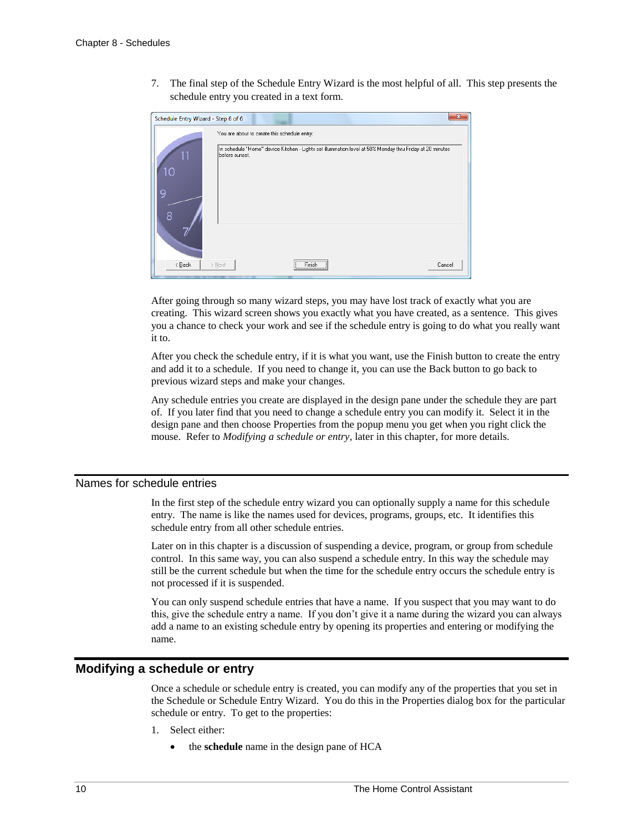7. The final step of the Schedule Entry Wizard is the most helpful of all. This step presents the schedule entry you created in a text form.

| Schedule Entry Wizard - Step 6 of 6 | $\mathbf{x}$                                                                                                                                                                |
|-------------------------------------|-----------------------------------------------------------------------------------------------------------------------------------------------------------------------------|
| $\mathbf{1}$                        | You are about to create this schedule entry:<br>In schedule "Home" device Kitchen - Lights set illumination level at 50% Monday thru Friday at 20 minutes<br>before sunset. |
| 10<br>9                             |                                                                                                                                                                             |
| 8                                   |                                                                                                                                                                             |
| $\leq$ Back                         | Finish<br>Cancel<br>$>$ Next<br>,,,,,,,,,,,,,,,,,,,,,,,,,,,,,,                                                                                                              |

After going through so many wizard steps, you may have lost track of exactly what you are creating. This wizard screen shows you exactly what you have created, as a sentence. This gives you a chance to check your work and see if the schedule entry is going to do what you really want it to.

After you check the schedule entry, if it is what you want, use the Finish button to create the entry and add it to a schedule. If you need to change it, you can use the Back button to go back to previous wizard steps and make your changes.

Any schedule entries you create are displayed in the design pane under the schedule they are part of. If you later find that you need to change a schedule entry you can modify it. Select it in the design pane and then choose Properties from the popup menu you get when you right click the mouse. Refer to *Modifying a schedule or entry*, later in this chapter, for more details.

#### Names for schedule entries

In the first step of the schedule entry wizard you can optionally supply a name for this schedule entry. The name is like the names used for devices, programs, groups, etc. It identifies this schedule entry from all other schedule entries.

Later on in this chapter is a discussion of suspending a device, program, or group from schedule control. In this same way, you can also suspend a schedule entry. In this way the schedule may still be the current schedule but when the time for the schedule entry occurs the schedule entry is not processed if it is suspended.

You can only suspend schedule entries that have a name. If you suspect that you may want to do this, give the schedule entry a name. If you don't give it a name during the wizard you can always add a name to an existing schedule entry by opening its properties and entering or modifying the name.

### **Modifying a schedule or entry**

Once a schedule or schedule entry is created, you can modify any of the properties that you set in the Schedule or Schedule Entry Wizard. You do this in the Properties dialog box for the particular schedule or entry. To get to the properties:

- 1. Select either:
	- the **schedule** name in the design pane of HCA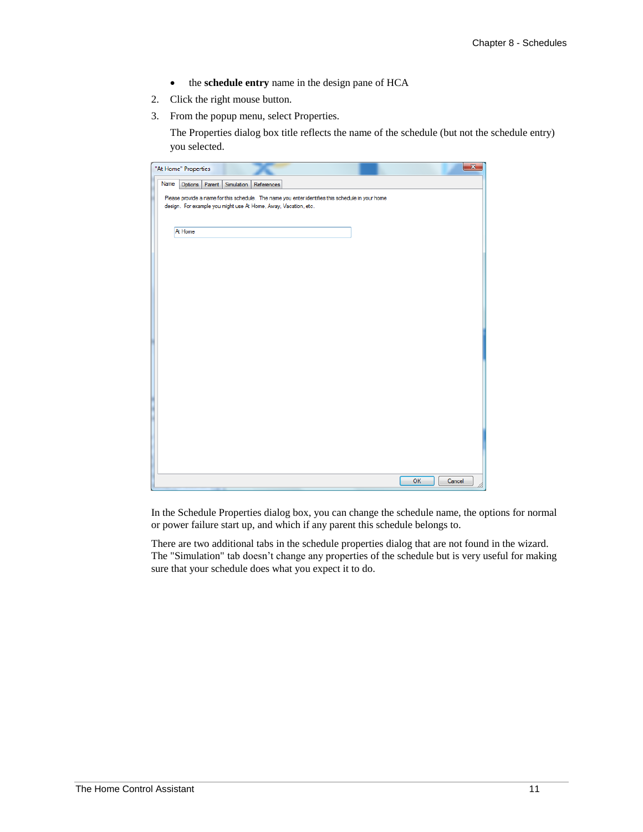- the **schedule entry** name in the design pane of HCA
- 2. Click the right mouse button.
- 3. From the popup menu, select Properties.

The Properties dialog box title reflects the name of the schedule (but not the schedule entry) you selected.

| Name<br>Simulation References<br>Options Parent<br>Please provide a name for this schedule. The name you enter identifies this schedule in your home<br>design. For example you might use At Home, Away, Vacation, etc. |        |
|-------------------------------------------------------------------------------------------------------------------------------------------------------------------------------------------------------------------------|--------|
|                                                                                                                                                                                                                         |        |
|                                                                                                                                                                                                                         |        |
|                                                                                                                                                                                                                         |        |
| At Home                                                                                                                                                                                                                 |        |
|                                                                                                                                                                                                                         |        |
|                                                                                                                                                                                                                         |        |
|                                                                                                                                                                                                                         |        |
|                                                                                                                                                                                                                         |        |
|                                                                                                                                                                                                                         |        |
|                                                                                                                                                                                                                         |        |
|                                                                                                                                                                                                                         |        |
|                                                                                                                                                                                                                         |        |
|                                                                                                                                                                                                                         |        |
|                                                                                                                                                                                                                         |        |
|                                                                                                                                                                                                                         |        |
|                                                                                                                                                                                                                         |        |
|                                                                                                                                                                                                                         |        |
|                                                                                                                                                                                                                         |        |
|                                                                                                                                                                                                                         |        |
|                                                                                                                                                                                                                         |        |
|                                                                                                                                                                                                                         |        |
| OK                                                                                                                                                                                                                      | Cancel |

In the Schedule Properties dialog box, you can change the schedule name, the options for normal or power failure start up, and which if any parent this schedule belongs to.

There are two additional tabs in the schedule properties dialog that are not found in the wizard. The "Simulation" tab doesn't change any properties of the schedule but is very useful for making sure that your schedule does what you expect it to do.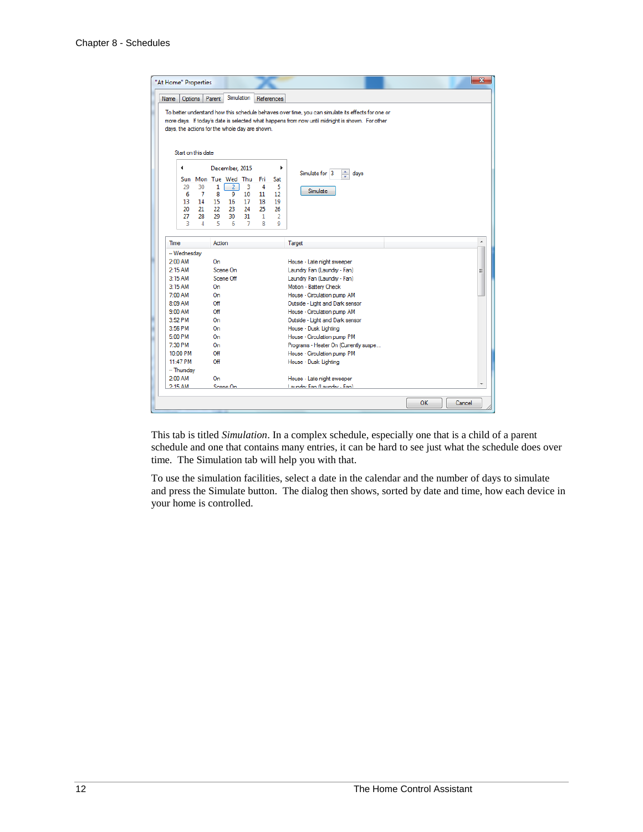| "At Home" Properties                                                                                                                                                                                                                                                                        |                                                                                                                                                                                                                          |                                                                                                                                                                                                                                                                                                                                                                                                                 |    | $\overline{\mathbf{x}}$ |
|---------------------------------------------------------------------------------------------------------------------------------------------------------------------------------------------------------------------------------------------------------------------------------------------|--------------------------------------------------------------------------------------------------------------------------------------------------------------------------------------------------------------------------|-----------------------------------------------------------------------------------------------------------------------------------------------------------------------------------------------------------------------------------------------------------------------------------------------------------------------------------------------------------------------------------------------------------------|----|-------------------------|
| Options   Parent<br>Name                                                                                                                                                                                                                                                                    | Simulation<br>References                                                                                                                                                                                                 |                                                                                                                                                                                                                                                                                                                                                                                                                 |    |                         |
| days, the actions for the whole day are shown.<br>Start on this date<br>٠<br>Sun Mon Tue Wed Thu<br>30<br>1<br>29<br>8<br>6<br>7<br>13<br>14<br>15<br>20<br>22<br>21<br>27<br>28<br>29<br>З<br>$\overline{5}$<br>4                                                                          | December, 2015<br>Þ<br>Fri<br>Sat<br>$\overline{2}$<br>4<br>3<br>5<br>9<br>10<br>11<br>12<br>16<br>17<br>18<br>19<br>23<br>25<br>26<br>24<br>30<br>31<br>$\mathbf{1}$<br>$\overline{2}$<br>$\overline{7}$<br>8<br>g<br>6 | To better understand how this schedule behaves over time, you can simulate its effects for one or<br>more days. If today's date is selected what happens from now until midnight is shown. For other<br>÷<br>Simulate for 3<br>days<br><b>Simulate</b>                                                                                                                                                          |    |                         |
| Time<br>Action                                                                                                                                                                                                                                                                              |                                                                                                                                                                                                                          | Target                                                                                                                                                                                                                                                                                                                                                                                                          |    | ▲                       |
| -- Wednesday<br>$2.00$ AM<br>0n<br>Scene On<br>$2:15$ AM<br>Scene Off<br>$3:15$ AM<br>$3:15$ AM<br>0n<br>7:00 AM<br>0n<br>Off<br>$8:09$ AM<br>Off<br>$9:00$ AM<br>3:52 PM<br>On<br>$3:56$ PM<br>On<br>5:00 PM<br>On<br>7:30 PM<br>On<br>Off<br>$10:00$ PM<br>11:47 PM<br>Off<br>-- Thursday |                                                                                                                                                                                                                          | House - Late night sweeper<br>Laundry Fan (Laundry - Fan)<br>Laundry Fan (Laundry - Fan)<br>Motion - Battery Check<br>House - Circulation pump AM<br>Outside - Light and Dark sensor<br>House - Circulation pump AM<br>Outside - Light and Dark sensor<br>House - Dusk Lighting<br>House - Circulation pump PM<br>Programs - Heater On (Currently suspe<br>House - Circulation pump PM<br>House - Dusk Lighting |    | Ξ                       |
| 2:00 AM<br>On<br>$2-15$ AM<br>Scene On                                                                                                                                                                                                                                                      |                                                                                                                                                                                                                          | House - Late night sweeper<br>Laundry Fan (Laundry - Fan)                                                                                                                                                                                                                                                                                                                                                       |    |                         |
|                                                                                                                                                                                                                                                                                             |                                                                                                                                                                                                                          |                                                                                                                                                                                                                                                                                                                                                                                                                 | OK | Cancel                  |

This tab is titled *Simulation*. In a complex schedule, especially one that is a child of a parent schedule and one that contains many entries, it can be hard to see just what the schedule does over time. The Simulation tab will help you with that.

To use the simulation facilities, select a date in the calendar and the number of days to simulate and press the Simulate button. The dialog then shows, sorted by date and time, how each device in your home is controlled.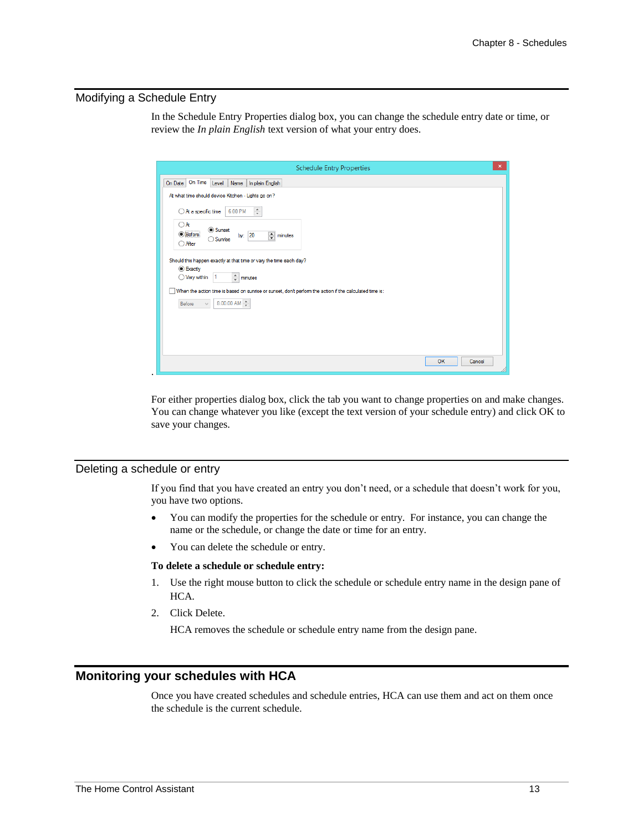# Modifying a Schedule Entry

In the Schedule Entry Properties dialog box, you can change the schedule entry date or time, or review the *In plain English* text version of what your entry does.

| <b>Schedule Entry Properties</b>                                                                                                                                                                                                                            | $\boldsymbol{\times}$ |  |  |
|-------------------------------------------------------------------------------------------------------------------------------------------------------------------------------------------------------------------------------------------------------------|-----------------------|--|--|
| On Time Level<br>Name<br>In plain English<br>On Date                                                                                                                                                                                                        |                       |  |  |
| At what time should device Kitchen - Lights go on?                                                                                                                                                                                                          |                       |  |  |
| $\frac{a}{\pi}$<br>6:00 PM<br>$\bigcirc$ At a specific time                                                                                                                                                                                                 |                       |  |  |
| $\bigcirc$ At<br>Sunset<br><b>Before</b><br>$\Rightarrow$ minutes<br>by: 20<br>$\bigcirc$ Sunrise<br>$\bigcap$ After                                                                                                                                        |                       |  |  |
| Should this happen exactly at that time or vary the time each day?<br><b>Exactly</b><br>$\hat{z}$ minutes<br>$\bigcirc$ Vary within<br>$\vert$ 1<br>When the action time is based on sunrise or sunset, don't perform the action if the calculated time is: |                       |  |  |
| 8:00:00 AM<br>Before                                                                                                                                                                                                                                        |                       |  |  |
| OK<br>Cancel                                                                                                                                                                                                                                                |                       |  |  |

For either properties dialog box, click the tab you want to change properties on and make changes. You can change whatever you like (except the text version of your schedule entry) and click OK to save your changes.

#### Deleting a schedule or entry

If you find that you have created an entry you don't need, or a schedule that doesn't work for you, you have two options.

- You can modify the properties for the schedule or entry. For instance, you can change the name or the schedule, or change the date or time for an entry.
- You can delete the schedule or entry.

### **To delete a schedule or schedule entry:**

- 1. Use the right mouse button to click the schedule or schedule entry name in the design pane of HCA.
- 2. Click Delete.

HCA removes the schedule or schedule entry name from the design pane.

# **Monitoring your schedules with HCA**

Once you have created schedules and schedule entries, HCA can use them and act on them once the schedule is the current schedule.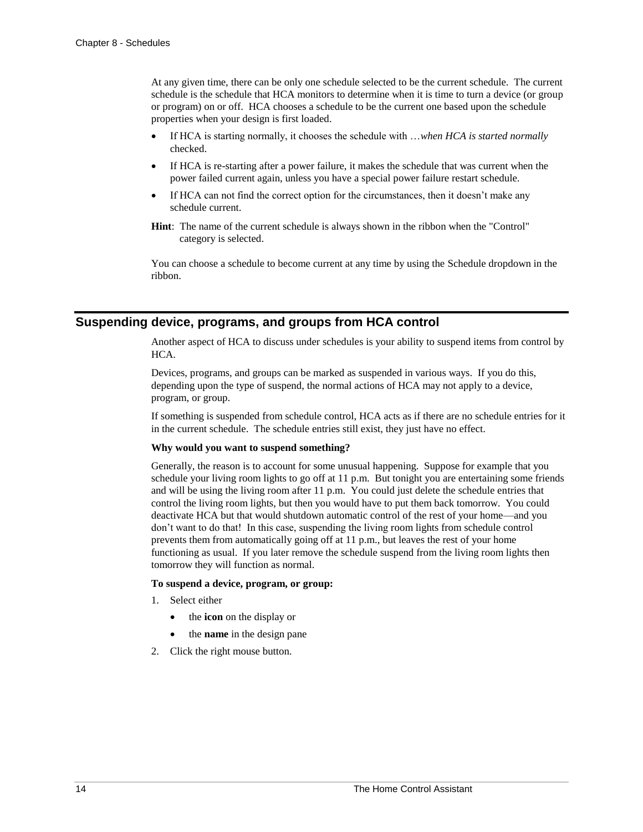At any given time, there can be only one schedule selected to be the current schedule. The current schedule is the schedule that HCA monitors to determine when it is time to turn a device (or group or program) on or off. HCA chooses a schedule to be the current one based upon the schedule properties when your design is first loaded.

- If HCA is starting normally, it chooses the schedule with …*when HCA is started normally* checked.
- If HCA is re-starting after a power failure, it makes the schedule that was current when the power failed current again, unless you have a special power failure restart schedule.
- If HCA can not find the correct option for the circumstances, then it doesn't make any schedule current.
- **Hint**: The name of the current schedule is always shown in the ribbon when the "Control" category is selected.

You can choose a schedule to become current at any time by using the Schedule dropdown in the ribbon.

# **Suspending device, programs, and groups from HCA control**

Another aspect of HCA to discuss under schedules is your ability to suspend items from control by HCA.

Devices, programs, and groups can be marked as suspended in various ways. If you do this, depending upon the type of suspend, the normal actions of HCA may not apply to a device, program, or group.

If something is suspended from schedule control, HCA acts as if there are no schedule entries for it in the current schedule. The schedule entries still exist, they just have no effect.

### **Why would you want to suspend something?**

Generally, the reason is to account for some unusual happening. Suppose for example that you schedule your living room lights to go off at 11 p.m. But tonight you are entertaining some friends and will be using the living room after 11 p.m. You could just delete the schedule entries that control the living room lights, but then you would have to put them back tomorrow. You could deactivate HCA but that would shutdown automatic control of the rest of your home—and you don't want to do that! In this case, suspending the living room lights from schedule control prevents them from automatically going off at 11 p.m., but leaves the rest of your home functioning as usual. If you later remove the schedule suspend from the living room lights then tomorrow they will function as normal.

#### **To suspend a device, program, or group:**

- 1. Select either
	- the **icon** on the display or
	- the **name** in the design pane
- 2. Click the right mouse button.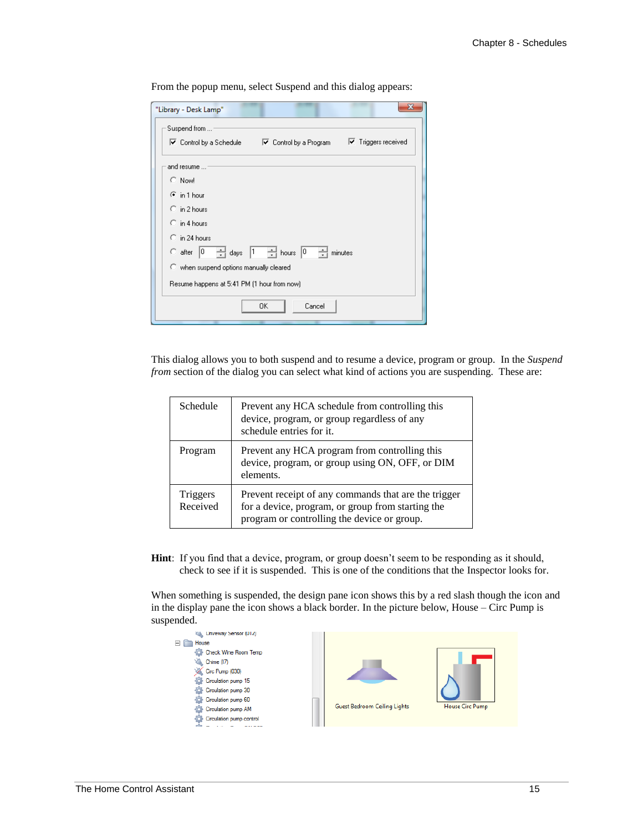| "Library - Desk Lamp"                                                                                                                                                                                                                                                                                                                                                                                                 |  |  |  |  |
|-----------------------------------------------------------------------------------------------------------------------------------------------------------------------------------------------------------------------------------------------------------------------------------------------------------------------------------------------------------------------------------------------------------------------|--|--|--|--|
| Suspend from                                                                                                                                                                                                                                                                                                                                                                                                          |  |  |  |  |
| $\triangledown$ Triggers received<br>$\overline{\mathbf{v}}$ Control by a Schedule $\overline{\mathbf{v}}$ Control by a Program                                                                                                                                                                                                                                                                                       |  |  |  |  |
| and resume                                                                                                                                                                                                                                                                                                                                                                                                            |  |  |  |  |
| C Now!                                                                                                                                                                                                                                                                                                                                                                                                                |  |  |  |  |
| $\binom{2}{1}$ in 1 hour                                                                                                                                                                                                                                                                                                                                                                                              |  |  |  |  |
| $\circ$ in 2 hours                                                                                                                                                                                                                                                                                                                                                                                                    |  |  |  |  |
| $\heartsuit$ in 4 hours                                                                                                                                                                                                                                                                                                                                                                                               |  |  |  |  |
| $\bigcirc$ in 24 hours.                                                                                                                                                                                                                                                                                                                                                                                               |  |  |  |  |
| C after $\begin{array}{ c c c c c }\n\hline\n\text{C} & \text{after} & \begin{array}{ c c c }\n\hline\n\text{C} & \text{after} & \begin{array}{ c c c }\n\hline\n\text{C} & \text{after} & \begin{array}{ c c c }\n\hline\n\text{C} & \text{``ex}}\n\hline\n\text{C} & \text{or} & \begin{array}{ c c c }\n\hline\n\text{C} & \text{or} & \begin{array}{ c c c }\n\hline\n\text{C} & \text{or} & \begin{array}{ c c $ |  |  |  |  |
| C when suspend options manually cleared                                                                                                                                                                                                                                                                                                                                                                               |  |  |  |  |
| Resume happens at 5:41 PM (1 hour from now)                                                                                                                                                                                                                                                                                                                                                                           |  |  |  |  |
| 0K<br>Cancel                                                                                                                                                                                                                                                                                                                                                                                                          |  |  |  |  |

From the popup menu, select Suspend and this dialog appears:

This dialog allows you to both suspend and to resume a device, program or group. In the *Suspend from* section of the dialog you can select what kind of actions you are suspending. These are:

| Schedule                    | Prevent any HCA schedule from controlling this<br>device, program, or group regardless of any<br>schedule entries for it.                                |
|-----------------------------|----------------------------------------------------------------------------------------------------------------------------------------------------------|
| Program                     | Prevent any HCA program from controlling this<br>device, program, or group using ON, OFF, or DIM<br>elements.                                            |
| <b>Triggers</b><br>Received | Prevent receipt of any commands that are the trigger<br>for a device, program, or group from starting the<br>program or controlling the device or group. |

**Hint**: If you find that a device, program, or group doesn't seem to be responding as it should, check to see if it is suspended. This is one of the conditions that the Inspector looks for.

When something is suspended, the design pane icon shows this by a red slash though the icon and in the display pane the icon shows a black border. In the picture below, House – Circ Pump is suspended.